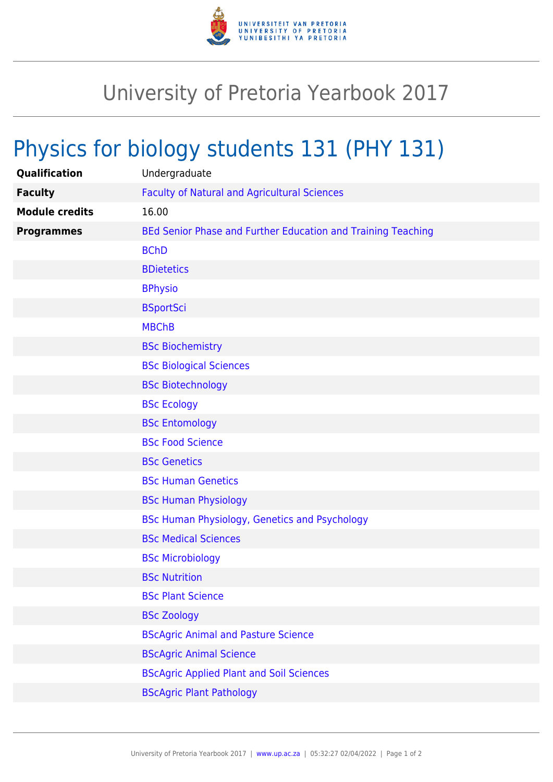

## University of Pretoria Yearbook 2017

## Physics for biology students 131 (PHY 131)

| Qualification         | Undergraduate                                                |
|-----------------------|--------------------------------------------------------------|
| <b>Faculty</b>        | <b>Faculty of Natural and Agricultural Sciences</b>          |
| <b>Module credits</b> | 16.00                                                        |
| <b>Programmes</b>     | BEd Senior Phase and Further Education and Training Teaching |
|                       | <b>BChD</b>                                                  |
|                       | <b>BDietetics</b>                                            |
|                       | <b>BPhysio</b>                                               |
|                       | <b>BSportSci</b>                                             |
|                       | <b>MBChB</b>                                                 |
|                       | <b>BSc Biochemistry</b>                                      |
|                       | <b>BSc Biological Sciences</b>                               |
|                       | <b>BSc Biotechnology</b>                                     |
|                       | <b>BSc Ecology</b>                                           |
|                       | <b>BSc Entomology</b>                                        |
|                       | <b>BSc Food Science</b>                                      |
|                       | <b>BSc Genetics</b>                                          |
|                       | <b>BSc Human Genetics</b>                                    |
|                       | <b>BSc Human Physiology</b>                                  |
|                       | <b>BSc Human Physiology, Genetics and Psychology</b>         |
|                       | <b>BSc Medical Sciences</b>                                  |
|                       | <b>BSc Microbiology</b>                                      |
|                       | <b>BSc Nutrition</b>                                         |
|                       | <b>BSc Plant Science</b>                                     |
|                       | <b>BSc Zoology</b>                                           |
|                       | <b>BScAgric Animal and Pasture Science</b>                   |
|                       | <b>BScAgric Animal Science</b>                               |
|                       | <b>BScAgric Applied Plant and Soil Sciences</b>              |
|                       | <b>BScAgric Plant Pathology</b>                              |
|                       |                                                              |